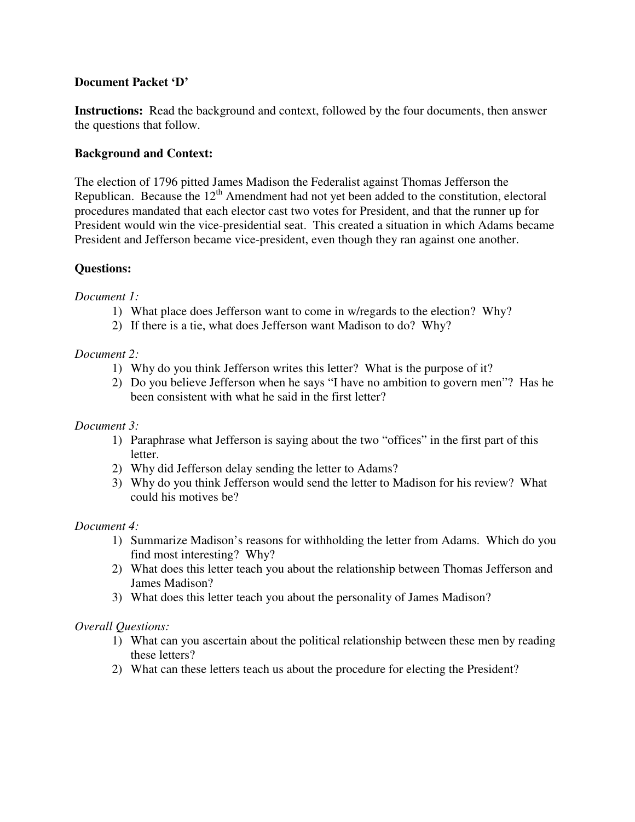# **Document Packet 'D'**

**Instructions:** Read the background and context, followed by the four documents, then answer the questions that follow.

# **Background and Context:**

The election of 1796 pitted James Madison the Federalist against Thomas Jefferson the Republican. Because the  $12<sup>th</sup>$  Amendment had not yet been added to the constitution, electoral procedures mandated that each elector cast two votes for President, and that the runner up for President would win the vice-presidential seat. This created a situation in which Adams became President and Jefferson became vice-president, even though they ran against one another.

# **Questions:**

## *Document 1:*

- 1) What place does Jefferson want to come in w/regards to the election? Why?
- 2) If there is a tie, what does Jefferson want Madison to do? Why?

## *Document 2:*

- 1) Why do you think Jefferson writes this letter? What is the purpose of it?
- 2) Do you believe Jefferson when he says "I have no ambition to govern men"? Has he been consistent with what he said in the first letter?

## *Document 3:*

- 1) Paraphrase what Jefferson is saying about the two "offices" in the first part of this letter.
- 2) Why did Jefferson delay sending the letter to Adams?
- 3) Why do you think Jefferson would send the letter to Madison for his review? What could his motives be?

## *Document 4:*

- 1) Summarize Madison's reasons for withholding the letter from Adams. Which do you find most interesting? Why?
- 2) What does this letter teach you about the relationship between Thomas Jefferson and James Madison?
- 3) What does this letter teach you about the personality of James Madison?

## *Overall Questions:*

- 1) What can you ascertain about the political relationship between these men by reading these letters?
- 2) What can these letters teach us about the procedure for electing the President?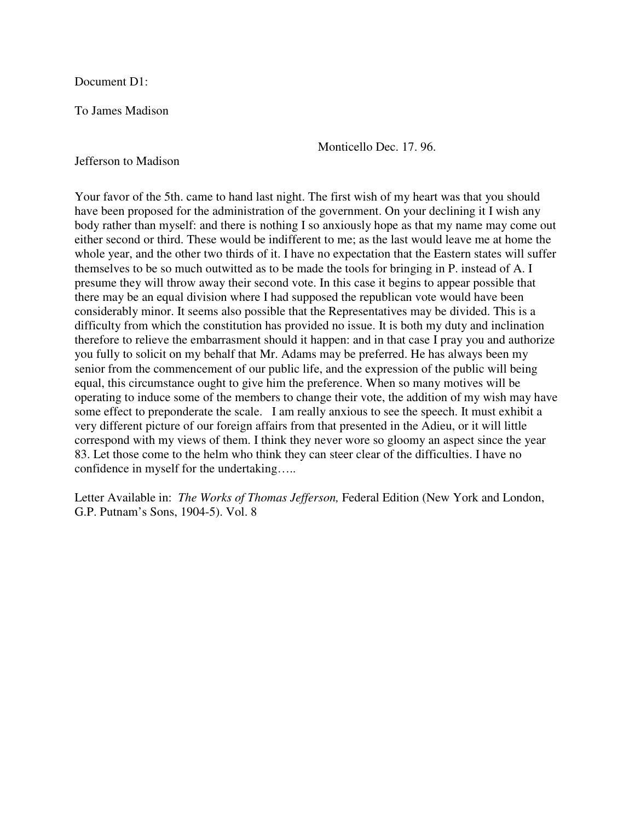Document D1:

To James Madison

Monticello Dec. 17. 96.

Jefferson to Madison

Your favor of the 5th. came to hand last night. The first wish of my heart was that you should have been proposed for the administration of the government. On your declining it I wish any body rather than myself: and there is nothing I so anxiously hope as that my name may come out either second or third. These would be indifferent to me; as the last would leave me at home the whole year, and the other two thirds of it. I have no expectation that the Eastern states will suffer themselves to be so much outwitted as to be made the tools for bringing in P. instead of A. I presume they will throw away their second vote. In this case it begins to appear possible that there may be an equal division where I had supposed the republican vote would have been considerably minor. It seems also possible that the Representatives may be divided. This is a difficulty from which the constitution has provided no issue. It is both my duty and inclination therefore to relieve the embarrasment should it happen: and in that case I pray you and authorize you fully to solicit on my behalf that Mr. Adams may be preferred. He has always been my senior from the commencement of our public life, and the expression of the public will being equal, this circumstance ought to give him the preference. When so many motives will be operating to induce some of the members to change their vote, the addition of my wish may have some effect to preponderate the scale. I am really anxious to see the speech. It must exhibit a very different picture of our foreign affairs from that presented in the Adieu, or it will little correspond with my views of them. I think they never wore so gloomy an aspect since the year 83. Let those come to the helm who think they can steer clear of the difficulties. I have no confidence in myself for the undertaking…..

Letter Available in: *The Works of Thomas Jefferson,* Federal Edition (New York and London, G.P. Putnam's Sons, 1904-5). Vol. 8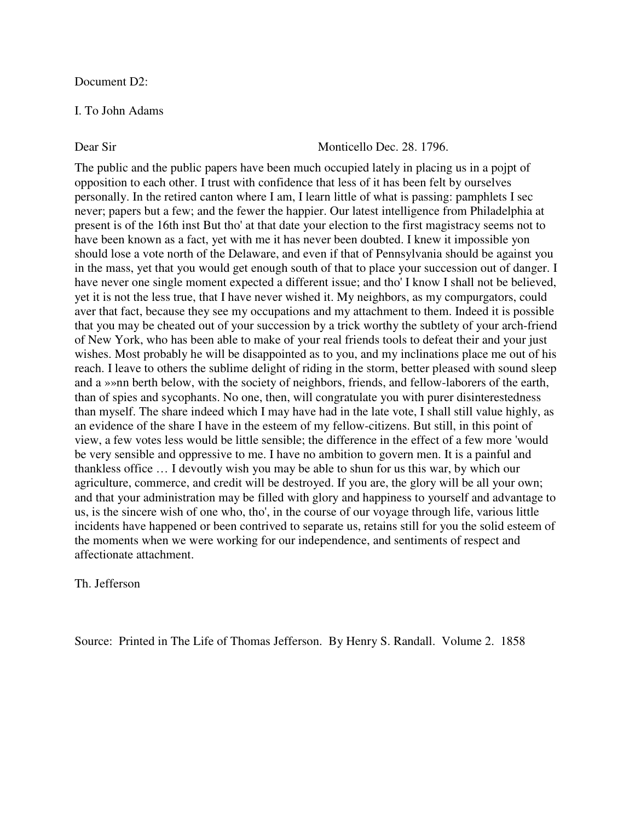### Document D2:

## I. To John Adams

## Dear Sir Monticello Dec. 28. 1796.

The public and the public papers have been much occupied lately in placing us in a pojpt of opposition to each other. I trust with confidence that less of it has been felt by ourselves personally. In the retired canton where I am, I learn little of what is passing: pamphlets I sec never; papers but a few; and the fewer the happier. Our latest intelligence from Philadelphia at present is of the 16th inst But tho' at that date your election to the first magistracy seems not to have been known as a fact, yet with me it has never been doubted. I knew it impossible yon should lose a vote north of the Delaware, and even if that of Pennsylvania should be against you in the mass, yet that you would get enough south of that to place your succession out of danger. I have never one single moment expected a different issue; and tho' I know I shall not be believed, yet it is not the less true, that I have never wished it. My neighbors, as my compurgators, could aver that fact, because they see my occupations and my attachment to them. Indeed it is possible that you may be cheated out of your succession by a trick worthy the subtlety of your arch-friend of New York, who has been able to make of your real friends tools to defeat their and your just wishes. Most probably he will be disappointed as to you, and my inclinations place me out of his reach. I leave to others the sublime delight of riding in the storm, better pleased with sound sleep and a »»nn berth below, with the society of neighbors, friends, and fellow-laborers of the earth, than of spies and sycophants. No one, then, will congratulate you with purer disinterestedness than myself. The share indeed which I may have had in the late vote, I shall still value highly, as an evidence of the share I have in the esteem of my fellow-citizens. But still, in this point of view, a few votes less would be little sensible; the difference in the effect of a few more 'would be very sensible and oppressive to me. I have no ambition to govern men. It is a painful and thankless office … I devoutly wish you may be able to shun for us this war, by which our agriculture, commerce, and credit will be destroyed. If you are, the glory will be all your own; and that your administration may be filled with glory and happiness to yourself and advantage to us, is the sincere wish of one who, tho', in the course of our voyage through life, various little incidents have happened or been contrived to separate us, retains still for you the solid esteem of the moments when we were working for our independence, and sentiments of respect and affectionate attachment.

Th. Jefferson

Source: Printed in The Life of Thomas Jefferson. By Henry S. Randall. Volume 2. 1858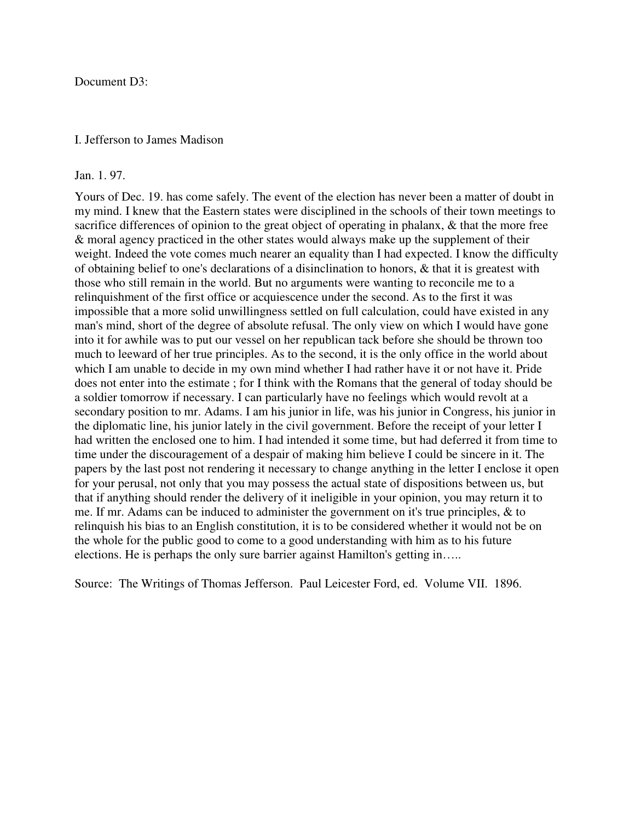Document D3:

#### I. Jefferson to James Madison

#### Jan. 1. 97.

Yours of Dec. 19. has come safely. The event of the election has never been a matter of doubt in my mind. I knew that the Eastern states were disciplined in the schools of their town meetings to sacrifice differences of opinion to the great object of operating in phalanx, & that the more free & moral agency practiced in the other states would always make up the supplement of their weight. Indeed the vote comes much nearer an equality than I had expected. I know the difficulty of obtaining belief to one's declarations of a disinclination to honors, & that it is greatest with those who still remain in the world. But no arguments were wanting to reconcile me to a relinquishment of the first office or acquiescence under the second. As to the first it was impossible that a more solid unwillingness settled on full calculation, could have existed in any man's mind, short of the degree of absolute refusal. The only view on which I would have gone into it for awhile was to put our vessel on her republican tack before she should be thrown too much to leeward of her true principles. As to the second, it is the only office in the world about which I am unable to decide in my own mind whether I had rather have it or not have it. Pride does not enter into the estimate ; for I think with the Romans that the general of today should be a soldier tomorrow if necessary. I can particularly have no feelings which would revolt at a secondary position to mr. Adams. I am his junior in life, was his junior in Congress, his junior in the diplomatic line, his junior lately in the civil government. Before the receipt of your letter I had written the enclosed one to him. I had intended it some time, but had deferred it from time to time under the discouragement of a despair of making him believe I could be sincere in it. The papers by the last post not rendering it necessary to change anything in the letter I enclose it open for your perusal, not only that you may possess the actual state of dispositions between us, but that if anything should render the delivery of it ineligible in your opinion, you may return it to me. If mr. Adams can be induced to administer the government on it's true principles, & to relinquish his bias to an English constitution, it is to be considered whether it would not be on the whole for the public good to come to a good understanding with him as to his future elections. He is perhaps the only sure barrier against Hamilton's getting in…..

Source: The Writings of Thomas Jefferson. Paul Leicester Ford, ed. Volume VII. 1896.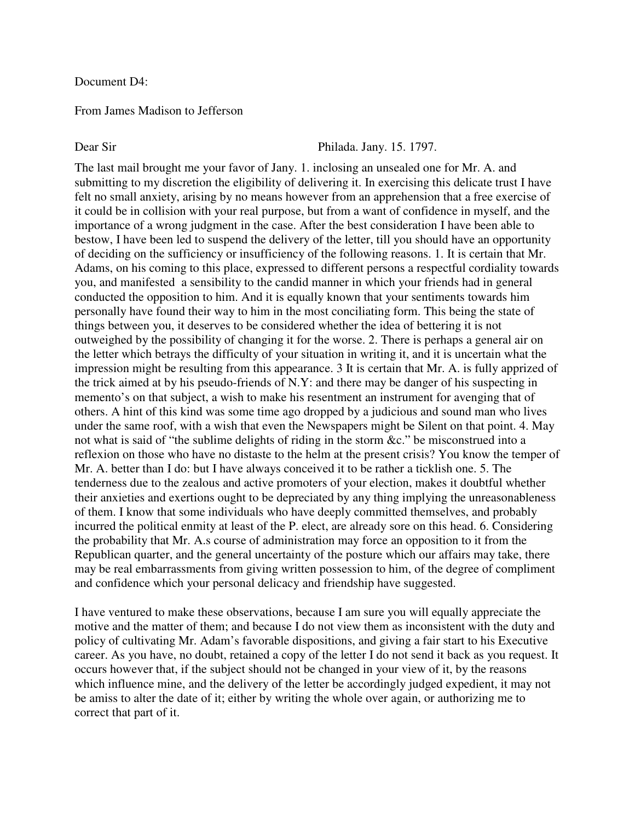#### Document D4:

From James Madison to Jefferson

#### Dear Sir Philada. Jany. 15. 1797.

The last mail brought me your favor of Jany. 1. inclosing an unsealed one for Mr. A. and submitting to my discretion the eligibility of delivering it. In exercising this delicate trust I have felt no small anxiety, arising by no means however from an apprehension that a free exercise of it could be in collision with your real purpose, but from a want of confidence in myself, and the importance of a wrong judgment in the case. After the best consideration I have been able to bestow, I have been led to suspend the delivery of the letter, till you should have an opportunity of deciding on the sufficiency or insufficiency of the following reasons. 1. It is certain that Mr. Adams, on his coming to this place, expressed to different persons a respectful cordiality towards you, and manifested a sensibility to the candid manner in which your friends had in general conducted the opposition to him. And it is equally known that your sentiments towards him personally have found their way to him in the most conciliating form. This being the state of things between you, it deserves to be considered whether the idea of bettering it is not outweighed by the possibility of changing it for the worse. 2. There is perhaps a general air on the letter which betrays the difficulty of your situation in writing it, and it is uncertain what the impression might be resulting from this appearance. 3 It is certain that Mr. A. is fully apprized of the trick aimed at by his pseudo-friends of N.Y: and there may be danger of his suspecting in memento's on that subject, a wish to make his resentment an instrument for avenging that of others. A hint of this kind was some time ago dropped by a judicious and sound man who lives under the same roof, with a wish that even the Newspapers might be Silent on that point. 4. May not what is said of "the sublime delights of riding in the storm &c." be misconstrued into a reflexion on those who have no distaste to the helm at the present crisis? You know the temper of Mr. A. better than I do: but I have always conceived it to be rather a ticklish one. 5. The tenderness due to the zealous and active promoters of your election, makes it doubtful whether their anxieties and exertions ought to be depreciated by any thing implying the unreasonableness of them. I know that some individuals who have deeply committed themselves, and probably incurred the political enmity at least of the P. elect, are already sore on this head. 6. Considering the probability that Mr. A.s course of administration may force an opposition to it from the Republican quarter, and the general uncertainty of the posture which our affairs may take, there may be real embarrassments from giving written possession to him, of the degree of compliment and confidence which your personal delicacy and friendship have suggested.

I have ventured to make these observations, because I am sure you will equally appreciate the motive and the matter of them; and because I do not view them as inconsistent with the duty and policy of cultivating Mr. Adam's favorable dispositions, and giving a fair start to his Executive career. As you have, no doubt, retained a copy of the letter I do not send it back as you request. It occurs however that, if the subject should not be changed in your view of it, by the reasons which influence mine, and the delivery of the letter be accordingly judged expedient, it may not be amiss to alter the date of it; either by writing the whole over again, or authorizing me to correct that part of it.